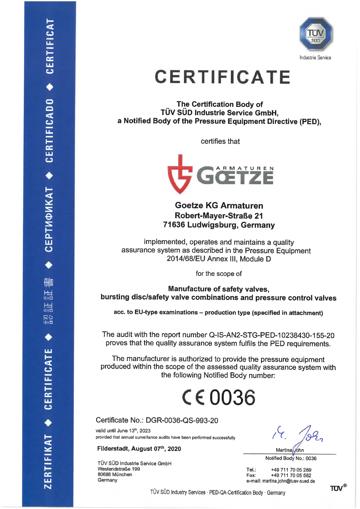

## **CERTIFICATE**

The Certification Body of TÜV SÜD Industrie Service GmbH, a Notified Body of the Pressure Equipment Directive (PED).

certifies that



**Goetze KG Armaturen Robert-Mayer-Straße 21** 71636 Ludwigsburg, Germany

implemented, operates and maintains a quality assurance system as described in the Pressure Equipment 2014/68/EU Annex III. Module D

for the scope of

Manufacture of safety valves, bursting disc/safety valve combinations and pressure control valves

acc. to EU-type examinations - production type (specified in attachment)

The audit with the report number Q-IS-AN2-STG-PED-10238430-155-20 proves that the quality assurance system fulfils the PED requirements.

The manufacturer is authorized to provide the pressure equipment produced within the scope of the assessed quality assurance system with the following Notified Body number:

## $C\epsilon$ 0036

Certificate No.: DGR-0036-QS-993-20

valid until June 13th, 2023 provided that annual surveillance audits have been performed successfully

Filderstadt, August 07th, 2020

TÜV SÜD Industrie Service GmbH Westendstraße 199 80686 München Germany

Martina John

Notified Body No.: 0036

Tel: +49 711 70 05 289 +49 711 70 05 582 Fax: e-mail: martina.john@tuev-sued.de

TÜV SÜD Industry Services · PED-QA-Certification Body · Germany